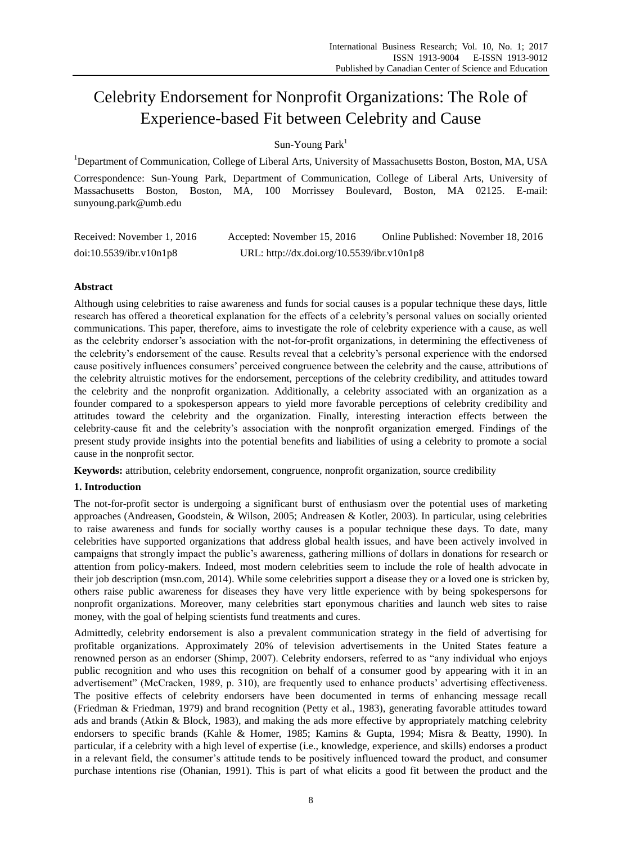# Celebrity Endorsement for Nonprofit Organizations: The Role of Experience-based Fit between Celebrity and Cause

Sun-Young Park<sup>1</sup>

<sup>1</sup>Department of Communication, College of Liberal Arts, University of Massachusetts Boston, Boston, MA, USA Correspondence: Sun-Young Park, Department of Communication, College of Liberal Arts, University of Massachusetts Boston, Boston, MA, 100 Morrissey Boulevard, Boston, MA 02125. E-mail: sunyoung.park@umb.edu

| Received: November 1, 2016 | Accepted: November 15, 2016                | Online Published: November 18, 2016 |
|----------------------------|--------------------------------------------|-------------------------------------|
| doi:10.5539/ibr.v10n1p8    | URL: http://dx.doi.org/10.5539/ibr.v10n1p8 |                                     |

# **Abstract**

Although using celebrities to raise awareness and funds for social causes is a popular technique these days, little research has offered a theoretical explanation for the effects of a celebrity"s personal values on socially oriented communications. This paper, therefore, aims to investigate the role of celebrity experience with a cause, as well as the celebrity endorser"s association with the not-for-profit organizations, in determining the effectiveness of the celebrity"s endorsement of the cause. Results reveal that a celebrity"s personal experience with the endorsed cause positively influences consumers" perceived congruence between the celebrity and the cause, attributions of the celebrity altruistic motives for the endorsement, perceptions of the celebrity credibility, and attitudes toward the celebrity and the nonprofit organization. Additionally, a celebrity associated with an organization as a founder compared to a spokesperson appears to yield more favorable perceptions of celebrity credibility and attitudes toward the celebrity and the organization. Finally, interesting interaction effects between the celebrity-cause fit and the celebrity"s association with the nonprofit organization emerged. Findings of the present study provide insights into the potential benefits and liabilities of using a celebrity to promote a social cause in the nonprofit sector.

**Keywords:** attribution, celebrity endorsement, congruence, nonprofit organization, source credibility

# **1. Introduction**

The not-for-profit sector is undergoing a significant burst of enthusiasm over the potential uses of marketing approaches (Andreasen, Goodstein, & Wilson, 2005; Andreasen & Kotler, 2003). In particular, using celebrities to raise awareness and funds for socially worthy causes is a popular technique these days. To date, many celebrities have supported organizations that address global health issues, and have been actively involved in campaigns that strongly impact the public"s awareness, gathering millions of dollars in donations for research or attention from policy-makers. Indeed, most modern celebrities seem to include the role of health advocate in their job description (msn.com, 2014). While some celebrities support a disease they or a loved one is stricken by, others raise public awareness for diseases they have very little experience with by being spokespersons for nonprofit organizations. Moreover, many celebrities start eponymous charities and launch web sites to raise money, with the goal of helping scientists fund treatments and cures.

Admittedly, celebrity endorsement is also a prevalent communication strategy in the field of advertising for profitable organizations. Approximately 20% of television advertisements in the United States feature a renowned person as an endorser (Shimp, 2007). Celebrity endorsers, referred to as "any individual who enjoys public recognition and who uses this recognition on behalf of a consumer good by appearing with it in an advertisement" (McCracken, 1989, p. 310), are frequently used to enhance products" advertising effectiveness. The positive effects of celebrity endorsers have been documented in terms of enhancing message recall (Friedman & Friedman, 1979) and brand recognition (Petty et al., 1983), generating favorable attitudes toward ads and brands (Atkin & Block, 1983), and making the ads more effective by appropriately matching celebrity endorsers to specific brands (Kahle & Homer, 1985; Kamins & Gupta, 1994; Misra & Beatty, 1990). In particular, if a celebrity with a high level of expertise (i.e., knowledge, experience, and skills) endorses a product in a relevant field, the consumer"s attitude tends to be positively influenced toward the product, and consumer purchase intentions rise (Ohanian, 1991). This is part of what elicits a good fit between the product and the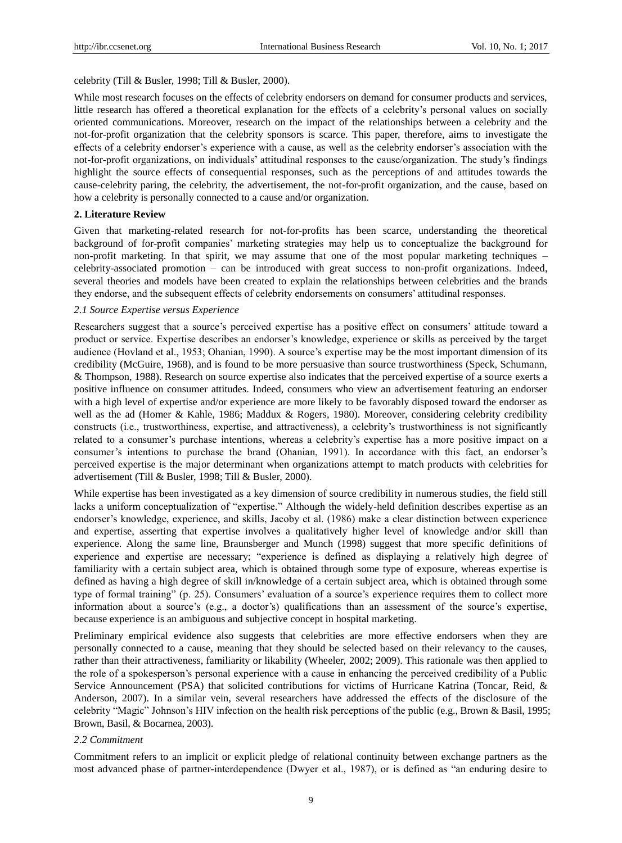celebrity (Till & Busler, 1998; Till & Busler, 2000).

While most research focuses on the effects of celebrity endorsers on demand for consumer products and services, little research has offered a theoretical explanation for the effects of a celebrity's personal values on socially oriented communications. Moreover, research on the impact of the relationships between a celebrity and the not-for-profit organization that the celebrity sponsors is scarce. This paper, therefore, aims to investigate the effects of a celebrity endorser"s experience with a cause, as well as the celebrity endorser"s association with the not-for-profit organizations, on individuals" attitudinal responses to the cause/organization. The study"s findings highlight the source effects of consequential responses, such as the perceptions of and attitudes towards the cause-celebrity paring, the celebrity, the advertisement, the not-for-profit organization, and the cause, based on how a celebrity is personally connected to a cause and/or organization.

## **2. Literature Review**

Given that marketing-related research for not-for-profits has been scarce, understanding the theoretical background of for-profit companies" marketing strategies may help us to conceptualize the background for non-profit marketing. In that spirit, we may assume that one of the most popular marketing techniques – celebrity-associated promotion – can be introduced with great success to non-profit organizations. Indeed, several theories and models have been created to explain the relationships between celebrities and the brands they endorse, and the subsequent effects of celebrity endorsements on consumers' attitudinal responses.

## *2.1 Source Expertise versus Experience*

Researchers suggest that a source"s perceived expertise has a positive effect on consumers" attitude toward a product or service. Expertise describes an endorser"s knowledge, experience or skills as perceived by the target audience (Hovland et al., 1953; Ohanian, 1990). A source's expertise may be the most important dimension of its credibility (McGuire, 1968), and is found to be more persuasive than source trustworthiness (Speck, Schumann, & Thompson, 1988). Research on source expertise also indicates that the perceived expertise of a source exerts a positive influence on consumer attitudes. Indeed, consumers who view an advertisement featuring an endorser with a high level of expertise and/or experience are more likely to be favorably disposed toward the endorser as well as the ad (Homer & Kahle, 1986; Maddux & Rogers, 1980). Moreover, considering celebrity credibility constructs (i.e., trustworthiness, expertise, and attractiveness), a celebrity"s trustworthiness is not significantly related to a consumer"s purchase intentions, whereas a celebrity"s expertise has a more positive impact on a consumer"s intentions to purchase the brand (Ohanian, 1991). In accordance with this fact, an endorser"s perceived expertise is the major determinant when organizations attempt to match products with celebrities for advertisement (Till & Busler, 1998; Till & Busler, 2000).

While expertise has been investigated as a key dimension of source credibility in numerous studies, the field still lacks a uniform conceptualization of "expertise." Although the widely-held definition describes expertise as an endorser"s knowledge, experience, and skills, Jacoby et al. (1986) make a clear distinction between experience and expertise, asserting that expertise involves a qualitatively higher level of knowledge and/or skill than experience. Along the same line, Braunsberger and Munch (1998) suggest that more specific definitions of experience and expertise are necessary; "experience is defined as displaying a relatively high degree of familiarity with a certain subject area, which is obtained through some type of exposure, whereas expertise is defined as having a high degree of skill in/knowledge of a certain subject area, which is obtained through some type of formal training" (p. 25). Consumers' evaluation of a source's experience requires them to collect more information about a source's (e.g., a doctor's) qualifications than an assessment of the source's expertise, because experience is an ambiguous and subjective concept in hospital marketing.

Preliminary empirical evidence also suggests that celebrities are more effective endorsers when they are personally connected to a cause, meaning that they should be selected based on their relevancy to the causes, rather than their attractiveness, familiarity or likability (Wheeler, 2002; 2009). This rationale was then applied to the role of a spokesperson"s personal experience with a cause in enhancing the perceived credibility of a Public Service Announcement (PSA) that solicited contributions for victims of Hurricane Katrina (Toncar, Reid, & Anderson, 2007). In a similar vein, several researchers have addressed the effects of the disclosure of the celebrity "Magic" Johnson"s HIV infection on the health risk perceptions of the public (e.g., Brown & Basil, 1995; Brown, Basil, & Bocarnea, 2003).

#### *2.2 Commitment*

Commitment refers to an implicit or explicit pledge of relational continuity between exchange partners as the most advanced phase of partner-interdependence (Dwyer et al., 1987), or is defined as "an enduring desire to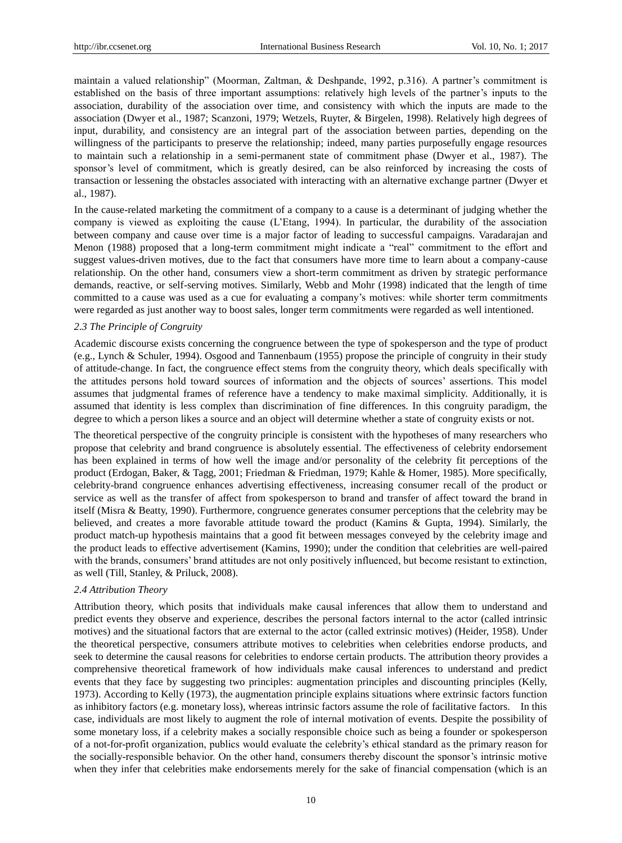maintain a valued relationship" (Moorman, Zaltman, & Deshpande, 1992, p.316). A partner"s commitment is established on the basis of three important assumptions: relatively high levels of the partner"s inputs to the association, durability of the association over time, and consistency with which the inputs are made to the association (Dwyer et al., 1987; Scanzoni, 1979; Wetzels, Ruyter, & Birgelen, 1998). Relatively high degrees of input, durability, and consistency are an integral part of the association between parties, depending on the willingness of the participants to preserve the relationship; indeed, many parties purposefully engage resources to maintain such a relationship in a semi-permanent state of commitment phase (Dwyer et al., 1987). The sponsor's level of commitment, which is greatly desired, can be also reinforced by increasing the costs of transaction or lessening the obstacles associated with interacting with an alternative exchange partner (Dwyer et al., 1987).

In the cause-related marketing the commitment of a company to a cause is a determinant of judging whether the company is viewed as exploiting the cause (L"Etang, 1994). In particular, the durability of the association between company and cause over time is a major factor of leading to successful campaigns. Varadarajan and Menon (1988) proposed that a long-term commitment might indicate a "real" commitment to the effort and suggest values-driven motives, due to the fact that consumers have more time to learn about a company-cause relationship. On the other hand, consumers view a short-term commitment as driven by strategic performance demands, reactive, or self-serving motives. Similarly, Webb and Mohr (1998) indicated that the length of time committed to a cause was used as a cue for evaluating a company's motives: while shorter term commitments were regarded as just another way to boost sales, longer term commitments were regarded as well intentioned.

#### *2.3 The Principle of Congruity*

Academic discourse exists concerning the congruence between the type of spokesperson and the type of product (e.g., Lynch & Schuler, 1994). Osgood and Tannenbaum (1955) propose the principle of congruity in their study of attitude-change. In fact, the congruence effect stems from the congruity theory, which deals specifically with the attitudes persons hold toward sources of information and the objects of sources" assertions. This model assumes that judgmental frames of reference have a tendency to make maximal simplicity. Additionally, it is assumed that identity is less complex than discrimination of fine differences. In this congruity paradigm, the degree to which a person likes a source and an object will determine whether a state of congruity exists or not.

The theoretical perspective of the congruity principle is consistent with the hypotheses of many researchers who propose that celebrity and brand congruence is absolutely essential. The effectiveness of celebrity endorsement has been explained in terms of how well the image and/or personality of the celebrity fit perceptions of the product (Erdogan, Baker, & Tagg, 2001; Friedman & Friedman, 1979; Kahle & Homer, 1985). More specifically, celebrity-brand congruence enhances advertising effectiveness, increasing consumer recall of the product or service as well as the transfer of affect from spokesperson to brand and transfer of affect toward the brand in itself (Misra & Beatty, 1990). Furthermore, congruence generates consumer perceptions that the celebrity may be believed, and creates a more favorable attitude toward the product (Kamins & Gupta, 1994). Similarly, the product match-up hypothesis maintains that a good fit between messages conveyed by the celebrity image and the product leads to effective advertisement (Kamins, 1990); under the condition that celebrities are well-paired with the brands, consumers' brand attitudes are not only positively influenced, but become resistant to extinction, as well (Till, Stanley, & Priluck, 2008).

#### *2.4 Attribution Theory*

Attribution theory, which posits that individuals make causal inferences that allow them to understand and predict events they observe and experience, describes the personal factors internal to the actor (called intrinsic motives) and the situational factors that are external to the actor (called extrinsic motives) (Heider, 1958). Under the theoretical perspective, consumers attribute motives to celebrities when celebrities endorse products, and seek to determine the causal reasons for celebrities to endorse certain products. The attribution theory provides a comprehensive theoretical framework of how individuals make causal inferences to understand and predict events that they face by suggesting two principles: augmentation principles and discounting principles (Kelly, 1973). According to Kelly (1973), the augmentation principle explains situations where extrinsic factors function as inhibitory factors (e.g. monetary loss), whereas intrinsic factors assume the role of facilitative factors. In this case, individuals are most likely to augment the role of internal motivation of events. Despite the possibility of some monetary loss, if a celebrity makes a socially responsible choice such as being a founder or spokesperson of a not-for-profit organization, publics would evaluate the celebrity"s ethical standard as the primary reason for the socially-responsible behavior. On the other hand, consumers thereby discount the sponsor"s intrinsic motive when they infer that celebrities make endorsements merely for the sake of financial compensation (which is an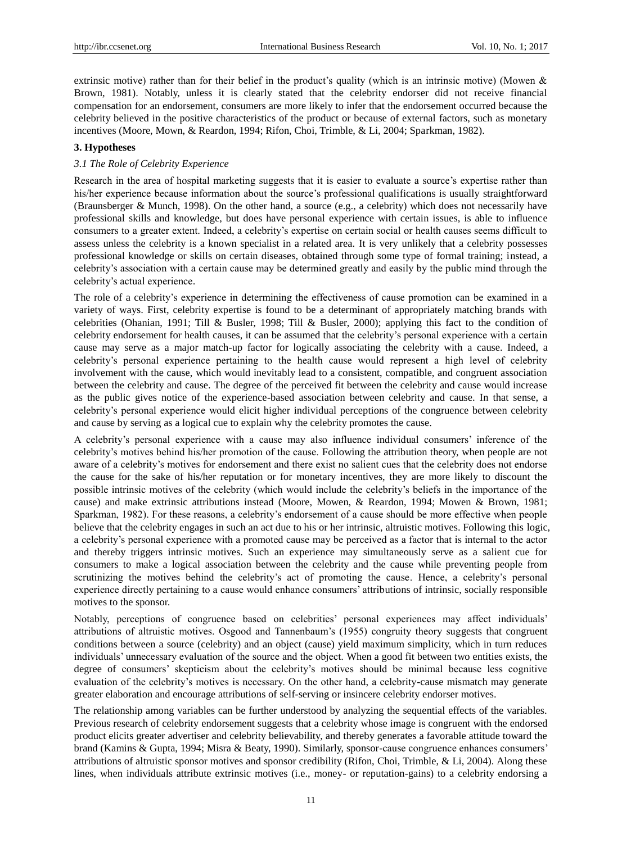extrinsic motive) rather than for their belief in the product's quality (which is an intrinsic motive) (Mowen  $\&$ Brown, 1981). Notably, unless it is clearly stated that the celebrity endorser did not receive financial compensation for an endorsement, consumers are more likely to infer that the endorsement occurred because the celebrity believed in the positive characteristics of the product or because of external factors, such as monetary incentives (Moore, Mown, & Reardon, 1994; Rifon, Choi, Trimble, & Li, 2004; Sparkman, 1982).

## **3. Hypotheses**

## *3.1 The Role of Celebrity Experience*

Research in the area of hospital marketing suggests that it is easier to evaluate a source's expertise rather than his/her experience because information about the source's professional qualifications is usually straightforward (Braunsberger & Munch, 1998). On the other hand, a source (e.g., a celebrity) which does not necessarily have professional skills and knowledge, but does have personal experience with certain issues, is able to influence consumers to a greater extent. Indeed, a celebrity"s expertise on certain social or health causes seems difficult to assess unless the celebrity is a known specialist in a related area. It is very unlikely that a celebrity possesses professional knowledge or skills on certain diseases, obtained through some type of formal training; instead, a celebrity"s association with a certain cause may be determined greatly and easily by the public mind through the celebrity"s actual experience.

The role of a celebrity"s experience in determining the effectiveness of cause promotion can be examined in a variety of ways. First, celebrity expertise is found to be a determinant of appropriately matching brands with celebrities (Ohanian, 1991; Till & Busler, 1998; Till & Busler, 2000); applying this fact to the condition of celebrity endorsement for health causes, it can be assumed that the celebrity"s personal experience with a certain cause may serve as a major match-up factor for logically associating the celebrity with a cause. Indeed, a celebrity"s personal experience pertaining to the health cause would represent a high level of celebrity involvement with the cause, which would inevitably lead to a consistent, compatible, and congruent association between the celebrity and cause. The degree of the perceived fit between the celebrity and cause would increase as the public gives notice of the experience-based association between celebrity and cause. In that sense, a celebrity"s personal experience would elicit higher individual perceptions of the congruence between celebrity and cause by serving as a logical cue to explain why the celebrity promotes the cause.

A celebrity"s personal experience with a cause may also influence individual consumers" inference of the celebrity"s motives behind his/her promotion of the cause. Following the attribution theory, when people are not aware of a celebrity's motives for endorsement and there exist no salient cues that the celebrity does not endorse the cause for the sake of his/her reputation or for monetary incentives, they are more likely to discount the possible intrinsic motives of the celebrity (which would include the celebrity"s beliefs in the importance of the cause) and make extrinsic attributions instead (Moore, Mowen, & Reardon, 1994; Mowen & Brown, 1981; Sparkman, 1982). For these reasons, a celebrity"s endorsement of a cause should be more effective when people believe that the celebrity engages in such an act due to his or her intrinsic, altruistic motives. Following this logic, a celebrity"s personal experience with a promoted cause may be perceived as a factor that is internal to the actor and thereby triggers intrinsic motives. Such an experience may simultaneously serve as a salient cue for consumers to make a logical association between the celebrity and the cause while preventing people from scrutinizing the motives behind the celebrity's act of promoting the cause. Hence, a celebrity's personal experience directly pertaining to a cause would enhance consumers" attributions of intrinsic, socially responsible motives to the sponsor.

Notably, perceptions of congruence based on celebrities' personal experiences may affect individuals' attributions of altruistic motives. Osgood and Tannenbaum"s (1955) congruity theory suggests that congruent conditions between a source (celebrity) and an object (cause) yield maximum simplicity, which in turn reduces individuals" unnecessary evaluation of the source and the object. When a good fit between two entities exists, the degree of consumers" skepticism about the celebrity"s motives should be minimal because less cognitive evaluation of the celebrity's motives is necessary. On the other hand, a celebrity-cause mismatch may generate greater elaboration and encourage attributions of self-serving or insincere celebrity endorser motives.

The relationship among variables can be further understood by analyzing the sequential effects of the variables. Previous research of celebrity endorsement suggests that a celebrity whose image is congruent with the endorsed product elicits greater advertiser and celebrity believability, and thereby generates a favorable attitude toward the brand (Kamins & Gupta, 1994; Misra & Beaty, 1990). Similarly, sponsor-cause congruence enhances consumers" attributions of altruistic sponsor motives and sponsor credibility (Rifon, Choi, Trimble, & Li, 2004). Along these lines, when individuals attribute extrinsic motives (i.e., money- or reputation-gains) to a celebrity endorsing a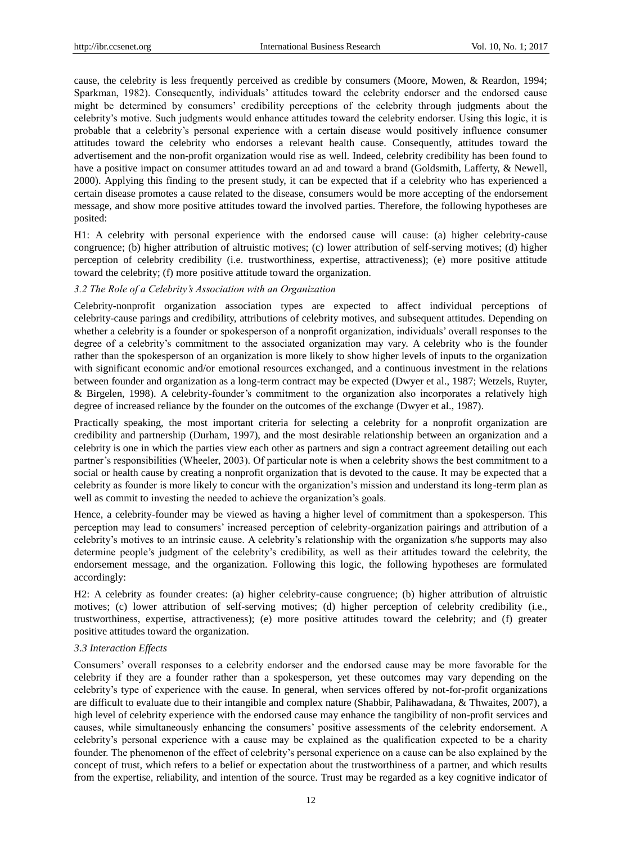cause, the celebrity is less frequently perceived as credible by consumers (Moore, Mowen, & Reardon, 1994; Sparkman, 1982). Consequently, individuals" attitudes toward the celebrity endorser and the endorsed cause might be determined by consumers" credibility perceptions of the celebrity through judgments about the celebrity"s motive. Such judgments would enhance attitudes toward the celebrity endorser. Using this logic, it is probable that a celebrity"s personal experience with a certain disease would positively influence consumer attitudes toward the celebrity who endorses a relevant health cause. Consequently, attitudes toward the advertisement and the non-profit organization would rise as well. Indeed, celebrity credibility has been found to have a positive impact on consumer attitudes toward an ad and toward a brand (Goldsmith, Lafferty, & Newell, 2000). Applying this finding to the present study, it can be expected that if a celebrity who has experienced a certain disease promotes a cause related to the disease, consumers would be more accepting of the endorsement message, and show more positive attitudes toward the involved parties. Therefore, the following hypotheses are posited:

H1: A celebrity with personal experience with the endorsed cause will cause: (a) higher celebrity-cause congruence; (b) higher attribution of altruistic motives; (c) lower attribution of self-serving motives; (d) higher perception of celebrity credibility (i.e. trustworthiness, expertise, attractiveness); (e) more positive attitude toward the celebrity; (f) more positive attitude toward the organization.

#### *3.2 The Role of a Celebrity's Association with an Organization*

Celebrity-nonprofit organization association types are expected to affect individual perceptions of celebrity-cause parings and credibility, attributions of celebrity motives, and subsequent attitudes. Depending on whether a celebrity is a founder or spokesperson of a nonprofit organization, individuals' overall responses to the degree of a celebrity's commitment to the associated organization may vary. A celebrity who is the founder rather than the spokesperson of an organization is more likely to show higher levels of inputs to the organization with significant economic and/or emotional resources exchanged, and a continuous investment in the relations between founder and organization as a long-term contract may be expected (Dwyer et al., 1987; Wetzels, Ruyter, & Birgelen, 1998). A celebrity-founder"s commitment to the organization also incorporates a relatively high degree of increased reliance by the founder on the outcomes of the exchange (Dwyer et al., 1987).

Practically speaking, the most important criteria for selecting a celebrity for a nonprofit organization are credibility and partnership (Durham, 1997), and the most desirable relationship between an organization and a celebrity is one in which the parties view each other as partners and sign a contract agreement detailing out each partner"s responsibilities (Wheeler, 2003). Of particular note is when a celebrity shows the best commitment to a social or health cause by creating a nonprofit organization that is devoted to the cause. It may be expected that a celebrity as founder is more likely to concur with the organization"s mission and understand its long-term plan as well as commit to investing the needed to achieve the organization's goals.

Hence, a celebrity-founder may be viewed as having a higher level of commitment than a spokesperson. This perception may lead to consumers" increased perception of celebrity-organization pairings and attribution of a celebrity"s motives to an intrinsic cause. A celebrity"s relationship with the organization s/he supports may also determine people"s judgment of the celebrity"s credibility, as well as their attitudes toward the celebrity, the endorsement message, and the organization. Following this logic, the following hypotheses are formulated accordingly:

H2: A celebrity as founder creates: (a) higher celebrity-cause congruence; (b) higher attribution of altruistic motives; (c) lower attribution of self-serving motives; (d) higher perception of celebrity credibility (i.e., trustworthiness, expertise, attractiveness); (e) more positive attitudes toward the celebrity; and (f) greater positive attitudes toward the organization.

#### *3.3 Interaction Effects*

Consumers" overall responses to a celebrity endorser and the endorsed cause may be more favorable for the celebrity if they are a founder rather than a spokesperson, yet these outcomes may vary depending on the celebrity"s type of experience with the cause. In general, when services offered by not-for-profit organizations are difficult to evaluate due to their intangible and complex nature (Shabbir, Palihawadana, & Thwaites, 2007), a high level of celebrity experience with the endorsed cause may enhance the tangibility of non-profit services and causes, while simultaneously enhancing the consumers" positive assessments of the celebrity endorsement. A celebrity"s personal experience with a cause may be explained as the qualification expected to be a charity founder. The phenomenon of the effect of celebrity"s personal experience on a cause can be also explained by the concept of trust, which refers to a belief or expectation about the trustworthiness of a partner, and which results from the expertise, reliability, and intention of the source. Trust may be regarded as a key cognitive indicator of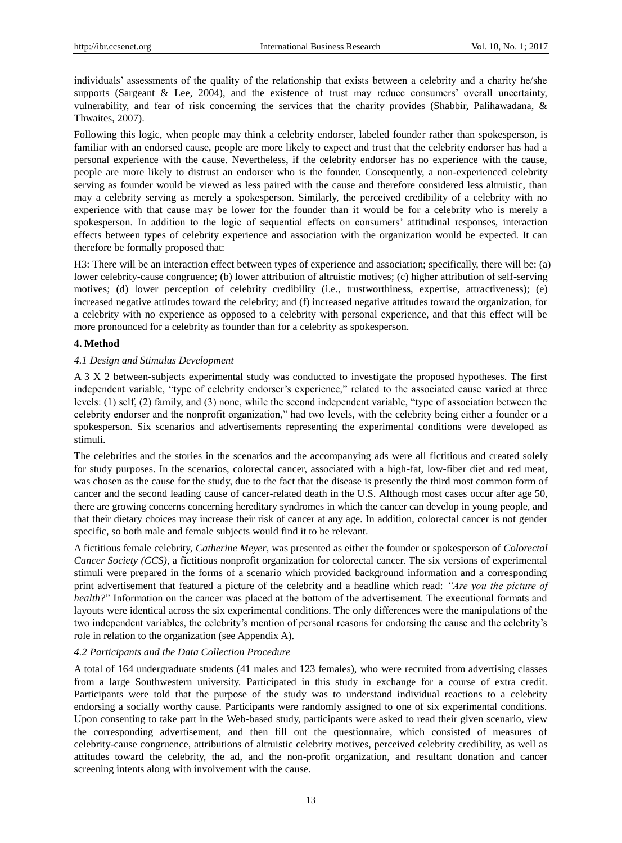individuals" assessments of the quality of the relationship that exists between a celebrity and a charity he/she supports (Sargeant & Lee, 2004), and the existence of trust may reduce consumers' overall uncertainty, vulnerability, and fear of risk concerning the services that the charity provides (Shabbir, Palihawadana, & Thwaites, 2007).

Following this logic, when people may think a celebrity endorser, labeled founder rather than spokesperson, is familiar with an endorsed cause, people are more likely to expect and trust that the celebrity endorser has had a personal experience with the cause. Nevertheless, if the celebrity endorser has no experience with the cause, people are more likely to distrust an endorser who is the founder. Consequently, a non-experienced celebrity serving as founder would be viewed as less paired with the cause and therefore considered less altruistic, than may a celebrity serving as merely a spokesperson. Similarly, the perceived credibility of a celebrity with no experience with that cause may be lower for the founder than it would be for a celebrity who is merely a spokesperson. In addition to the logic of sequential effects on consumers" attitudinal responses, interaction effects between types of celebrity experience and association with the organization would be expected. It can therefore be formally proposed that:

H3: There will be an interaction effect between types of experience and association; specifically, there will be: (a) lower celebrity-cause congruence; (b) lower attribution of altruistic motives; (c) higher attribution of self-serving motives; (d) lower perception of celebrity credibility (i.e., trustworthiness, expertise, attractiveness); (e) increased negative attitudes toward the celebrity; and (f) increased negative attitudes toward the organization, for a celebrity with no experience as opposed to a celebrity with personal experience, and that this effect will be more pronounced for a celebrity as founder than for a celebrity as spokesperson.

## **4. Method**

#### *4.1 Design and Stimulus Development*

A 3 X 2 between-subjects experimental study was conducted to investigate the proposed hypotheses. The first independent variable, "type of celebrity endorser's experience," related to the associated cause varied at three levels: (1) self, (2) family, and (3) none, while the second independent variable, "type of association between the celebrity endorser and the nonprofit organization," had two levels, with the celebrity being either a founder or a spokesperson. Six scenarios and advertisements representing the experimental conditions were developed as stimuli.

The celebrities and the stories in the scenarios and the accompanying ads were all fictitious and created solely for study purposes. In the scenarios, colorectal cancer, associated with a high-fat, low-fiber diet and red meat, was chosen as the cause for the study, due to the fact that the disease is presently the third most common form of cancer and the second leading cause of cancer-related death in the U.S. Although most cases occur after age 50, there are growing concerns concerning hereditary syndromes in which the cancer can develop in young people, and that their dietary choices may increase their risk of cancer at any age. In addition, colorectal cancer is not gender specific, so both male and female subjects would find it to be relevant.

A fictitious female celebrity, *Catherine Meyer*, was presented as either the founder or spokesperson of *Colorectal Cancer Society (CCS)*, a fictitious nonprofit organization for colorectal cancer. The six versions of experimental stimuli were prepared in the forms of a scenario which provided background information and a corresponding print advertisement that featured a picture of the celebrity and a headline which read: *"Are you the picture of health?*" Information on the cancer was placed at the bottom of the advertisement. The executional formats and layouts were identical across the six experimental conditions. The only differences were the manipulations of the two independent variables, the celebrity"s mention of personal reasons for endorsing the cause and the celebrity"s role in relation to the organization (see Appendix A).

## *4.2 Participants and the Data Collection Procedure*

A total of 164 undergraduate students (41 males and 123 females), who were recruited from advertising classes from a large Southwestern university. Participated in this study in exchange for a course of extra credit. Participants were told that the purpose of the study was to understand individual reactions to a celebrity endorsing a socially worthy cause. Participants were randomly assigned to one of six experimental conditions. Upon consenting to take part in the Web-based study, participants were asked to read their given scenario, view the corresponding advertisement, and then fill out the questionnaire, which consisted of measures of celebrity-cause congruence, attributions of altruistic celebrity motives, perceived celebrity credibility, as well as attitudes toward the celebrity, the ad, and the non-profit organization, and resultant donation and cancer screening intents along with involvement with the cause.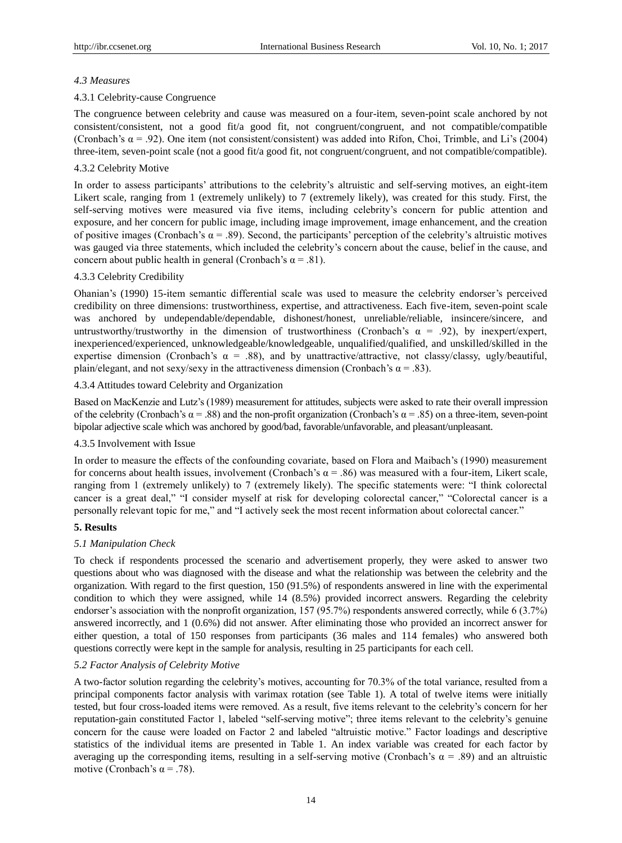## *4.3 Measures*

## 4.3.1 Celebrity-cause Congruence

The congruence between celebrity and cause was measured on a four-item, seven-point scale anchored by not consistent/consistent, not a good fit/a good fit, not congruent/congruent, and not compatible/compatible (Cronbach's  $\alpha$  = .92). One item (not consistent/consistent) was added into Rifon, Choi, Trimble, and Li's (2004) three-item, seven-point scale (not a good fit/a good fit, not congruent/congruent, and not compatible/compatible).

## 4.3.2 Celebrity Motive

In order to assess participants' attributions to the celebrity's altruistic and self-serving motives, an eight-item Likert scale, ranging from 1 (extremely unlikely) to 7 (extremely likely), was created for this study. First, the self-serving motives were measured via five items, including celebrity's concern for public attention and exposure, and her concern for public image, including image improvement, image enhancement, and the creation of positive images (Cronbach's  $\alpha$  = .89). Second, the participants' perception of the celebrity's altruistic motives was gauged via three statements, which included the celebrity"s concern about the cause, belief in the cause, and concern about public health in general (Cronbach's  $\alpha = .81$ ).

## 4.3.3 Celebrity Credibility

Ohanian"s (1990) 15-item semantic differential scale was used to measure the celebrity endorser"s perceived credibility on three dimensions: trustworthiness, expertise, and attractiveness. Each five-item, seven-point scale was anchored by undependable/dependable, dishonest/honest, unreliable/reliable, insincere/sincere, and untrustworthy/trustworthy in the dimension of trustworthiness (Cronbach's  $\alpha = .92$ ), by inexpert/expert, inexperienced/experienced, unknowledgeable/knowledgeable, unqualified/qualified, and unskilled/skilled in the expertise dimension (Cronbach's  $\alpha$  = .88), and by unattractive/attractive, not classy/classy, ugly/beautiful, plain/elegant, and not sexy/sexy in the attractiveness dimension (Cronbach's  $\alpha$  = .83).

## 4.3.4 Attitudes toward Celebrity and Organization

Based on MacKenzie and Lutz"s (1989) measurement for attitudes, subjects were asked to rate their overall impression of the celebrity (Cronbach's  $\alpha = .88$ ) and the non-profit organization (Cronbach's  $\alpha = .85$ ) on a three-item, seven-point bipolar adjective scale which was anchored by good/bad, favorable/unfavorable, and pleasant/unpleasant.

## 4.3.5 Involvement with Issue

In order to measure the effects of the confounding covariate, based on Flora and Maibach"s (1990) measurement for concerns about health issues, involvement (Cronbach's  $\alpha$  = .86) was measured with a four-item, Likert scale, ranging from 1 (extremely unlikely) to 7 (extremely likely). The specific statements were: "I think colorectal cancer is a great deal," "I consider myself at risk for developing colorectal cancer," "Colorectal cancer is a personally relevant topic for me," and "I actively seek the most recent information about colorectal cancer."

## **5. Results**

## *5.1 Manipulation Check*

To check if respondents processed the scenario and advertisement properly, they were asked to answer two questions about who was diagnosed with the disease and what the relationship was between the celebrity and the organization. With regard to the first question, 150 (91.5%) of respondents answered in line with the experimental condition to which they were assigned, while 14 (8.5%) provided incorrect answers. Regarding the celebrity endorser's association with the nonprofit organization,  $157 (95.7%)$  respondents answered correctly, while 6 (3.7%) answered incorrectly, and 1 (0.6%) did not answer. After eliminating those who provided an incorrect answer for either question, a total of 150 responses from participants (36 males and 114 females) who answered both questions correctly were kept in the sample for analysis, resulting in 25 participants for each cell.

## *5.2 Factor Analysis of Celebrity Motive*

A two-factor solution regarding the celebrity"s motives, accounting for 70.3% of the total variance, resulted from a principal components factor analysis with varimax rotation (see Table 1). A total of twelve items were initially tested, but four cross-loaded items were removed. As a result, five items relevant to the celebrity"s concern for her reputation-gain constituted Factor 1, labeled "self-serving motive"; three items relevant to the celebrity's genuine concern for the cause were loaded on Factor 2 and labeled "altruistic motive." Factor loadings and descriptive statistics of the individual items are presented in Table 1. An index variable was created for each factor by averaging up the corresponding items, resulting in a self-serving motive (Cronbach's  $\alpha$  = .89) and an altruistic motive (Cronbach's  $\alpha$  = .78).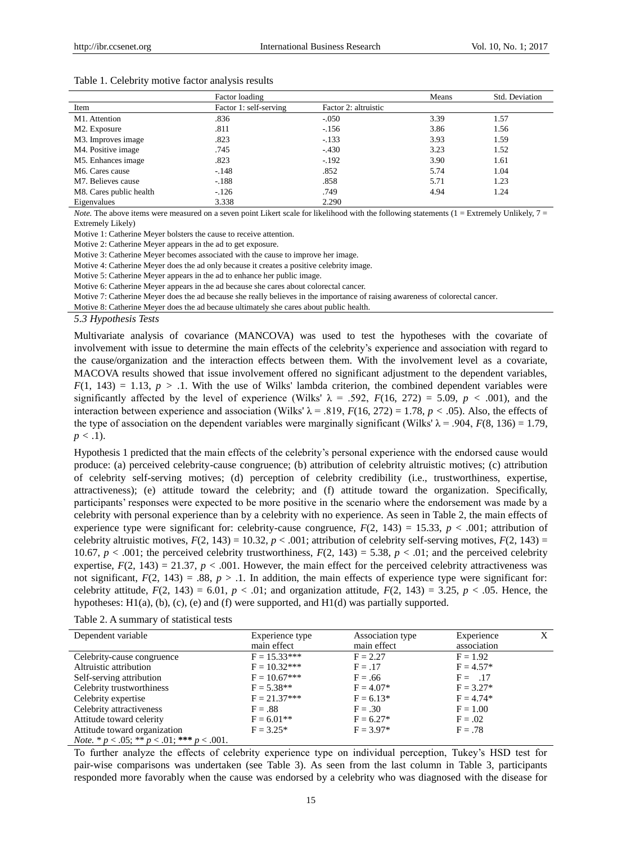|                              | Factor loading         |                      | Means | Std. Deviation |
|------------------------------|------------------------|----------------------|-------|----------------|
| Item                         | Factor 1: self-serving | Factor 2: altruistic |       |                |
| M1. Attention                | .836                   | $-.050$              | 3.39  | 1.57           |
| M2. Exposure                 | .811                   | $-156$               | 3.86  | 1.56           |
| M3. Improves image           | .823                   | $-.133$              | 3.93  | 1.59           |
| M4. Positive image           | .745                   | $-.430$              | 3.23  | 1.52           |
| M5. Enhances image           | .823                   | $-.192$              | 3.90  | 1.61           |
| M <sub>6</sub> . Cares cause | $-.148$                | .852                 | 5.74  | 1.04           |
| M7. Believes cause           | $-188$                 | .858                 | 5.71  | 1.23           |
| M8. Cares public health      | $-126$                 | .749                 | 4.94  | 1.24           |
| Eigenvalues                  | 3.338                  | 2.290                |       |                |

#### Table 1. Celebrity motive factor analysis results

*Note.* The above items were measured on a seven point Likert scale for likelihood with the following statements (1 = Extremely Unlikely, 7 = Extremely Likely)

Motive 1: Catherine Meyer bolsters the cause to receive attention.

Motive 2: Catherine Meyer appears in the ad to get exposure.

Motive 3: Catherine Meyer becomes associated with the cause to improve her image.

Motive 4: Catherine Meyer does the ad only because it creates a positive celebrity image.

Motive 5: Catherine Meyer appears in the ad to enhance her public image.

Motive 6: Catherine Meyer appears in the ad because she cares about colorectal cancer.

Motive 7: Catherine Meyer does the ad because she really believes in the importance of raising awareness of colorectal cancer.

Motive 8: Catherine Meyer does the ad because ultimately she cares about public health.

*5.3 Hypothesis Tests*

Multivariate analysis of covariance (MANCOVA) was used to test the hypotheses with the covariate of involvement with issue to determine the main effects of the celebrity"s experience and association with regard to the cause/organization and the interaction effects between them. With the involvement level as a covariate, MACOVA results showed that issue involvement offered no significant adjustment to the dependent variables,  $F(1, 143) = 1.13$ ,  $p > 1$ . With the use of Wilks' lambda criterion, the combined dependent variables were significantly affected by the level of experience (Wilks'  $\lambda = .592$ ,  $F(16, 272) = 5.09$ ,  $p < .001$ ), and the interaction between experience and association (Wilks'  $\lambda = .819$ ,  $F(16, 272) = 1.78$ ,  $p < .05$ ). Also, the effects of the type of association on the dependent variables were marginally significant (Wilks'  $\lambda = .904$ ,  $F(8, 136) = 1.79$ ,  $p < .1$ ).

Hypothesis 1 predicted that the main effects of the celebrity"s personal experience with the endorsed cause would produce: (a) perceived celebrity-cause congruence; (b) attribution of celebrity altruistic motives; (c) attribution of celebrity self-serving motives; (d) perception of celebrity credibility (i.e., trustworthiness, expertise, attractiveness); (e) attitude toward the celebrity; and (f) attitude toward the organization. Specifically, participants" responses were expected to be more positive in the scenario where the endorsement was made by a celebrity with personal experience than by a celebrity with no experience. As seen in Table 2, the main effects of experience type were significant for: celebrity-cause congruence,  $F(2, 143) = 15.33$ ,  $p < .001$ ; attribution of celebrity altruistic motives,  $F(2, 143) = 10.32$ ,  $p < .001$ ; attribution of celebrity self-serving motives,  $F(2, 143) =$ 10.67,  $p < .001$ ; the perceived celebrity trustworthiness,  $F(2, 143) = 5.38$ ,  $p < .01$ ; and the perceived celebrity expertise,  $F(2, 143) = 21.37$ ,  $p < .001$ . However, the main effect for the perceived celebrity attractiveness was not significant,  $F(2, 143) = .88$ ,  $p > .1$ . In addition, the main effects of experience type were significant for: celebrity attitude,  $F(2, 143) = 6.01$ ,  $p < .01$ ; and organization attitude,  $F(2, 143) = 3.25$ ,  $p < .05$ . Hence, the hypotheses: H1(a), (b), (c), (e) and (f) were supported, and H1(d) was partially supported.

|  |  |  |  | Table 2. A summary of statistical tests |  |
|--|--|--|--|-----------------------------------------|--|
|--|--|--|--|-----------------------------------------|--|

| Dependent variable                                         | Experience type | Association type | Experience  | X |
|------------------------------------------------------------|-----------------|------------------|-------------|---|
|                                                            | main effect     | main effect      | association |   |
| Celebrity-cause congruence                                 | $F = 15.33***$  | $F = 2.27$       | $F = 1.92$  |   |
| Altruistic attribution                                     | $F = 10.32***$  | $F = .17$        | $F = 4.57*$ |   |
| Self-serving attribution                                   | $F = 10.67***$  | $F = .66$        | $F = 0.17$  |   |
| Celebrity trustworthiness                                  | $F = 5.38***$   | $F = 4.07*$      | $F = 3.27*$ |   |
| Celebrity expertise                                        | $F = 21.37***$  | $F = 6.13*$      | $F = 4.74*$ |   |
| Celebrity attractiveness                                   | $F=.88$         | $F = .30$        | $F = 1.00$  |   |
| Attitude toward celerity                                   | $F = 6.01**$    | $F = 6.27*$      | $F = .02$   |   |
| Attitude toward organization                               | $F = 3.25*$     | $F = 3.97*$      | $F = .78$   |   |
| <i>Note.</i> * $p < .05$ ; ** $p < .01$ ; *** $p < .001$ . |                 |                  |             |   |

To further analyze the effects of celebrity experience type on individual perception, Tukey"s HSD test for pair-wise comparisons was undertaken (see Table 3). As seen from the last column in Table 3, participants responded more favorably when the cause was endorsed by a celebrity who was diagnosed with the disease for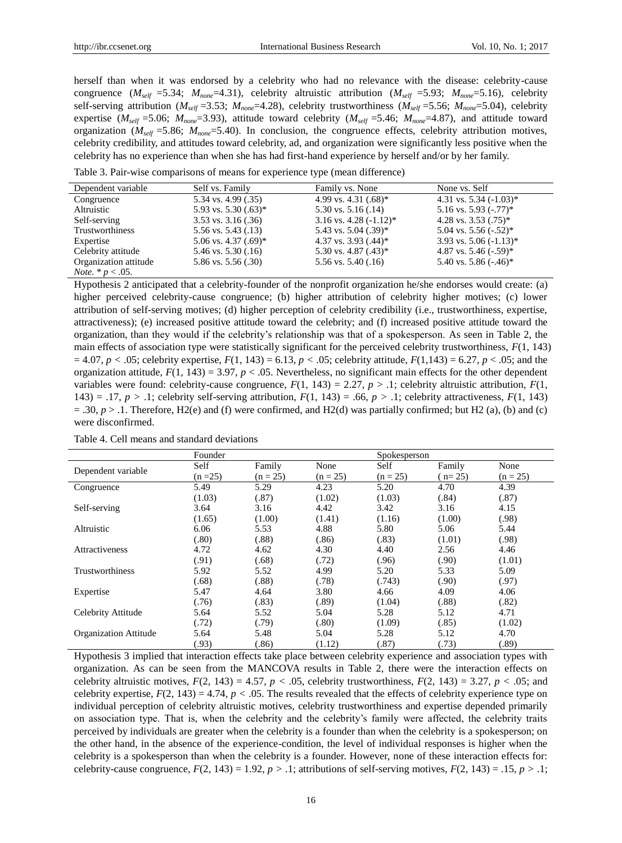herself than when it was endorsed by a celebrity who had no relevance with the disease: celebrity-cause congruence  $(M_{self} = 5.34; M_{none} = 4.31)$ , celebrity altruistic attribution  $(M_{self} = 5.93; M_{none} = 5.16)$ , celebrity self-serving attribution (*Mself* =3.53; *Mnone*=4.28), celebrity trustworthiness (*Mself* =5.56; *Mnone*=5.04), celebrity expertise ( $M_{self}$ =5.06;  $M_{none}$ =3.93), attitude toward celebrity ( $M_{self}$ =5.46;  $M_{none}$ =4.87), and attitude toward organization (*Mself* =5.86; *Mnone*=5.40). In conclusion, the congruence effects, celebrity attribution motives, celebrity credibility, and attitudes toward celebrity, ad, and organization were significantly less positive when the celebrity has no experience than when she has had first-hand experience by herself and/or by her family.

Table 3. Pair-wise comparisons of means for experience type (mean difference)

| Dependent variable         | Self vs. Family         | Family vs. None           | None vs. Self                       |
|----------------------------|-------------------------|---------------------------|-------------------------------------|
| Congruence                 | 5.34 vs. $4.99$ (.35)   | 4.99 vs. 4.31 $(.68)^*$   | 4.31 vs. $5.34$ ( $-1.03$ )*        |
| Altruistic                 | 5.93 vs. 5.30 $(.63)*$  | $5.30$ vs. $5.16$ (.14)   | 5.16 vs. 5.93 $(-.77)^*$            |
| Self-serving               | $3.53$ vs. $3.16$ (.36) | 3.16 vs. 4.28 $(-1.12)^*$ | 4.28 vs. $3.53$ (.75)*              |
| Trustworthiness            | 5.56 vs. 5.43 $(.13)$   | 5.43 vs. $5.04$ (.39)*    | 5.04 vs. 5.56 $(-.52)^*$            |
| Expertise                  | 5.06 vs. 4.37 $(.69)^*$ | 4.37 vs. 3.93 $(.44)^*$   | 3.93 vs. $5.06$ (-1.13)*            |
| Celebrity attitude         | $5.46$ vs. $5.30$ (.16) | 5.30 vs. $4.87$ (.43)*    | 4.87 vs. 5.46 $(-.59)^*$            |
| Organization attitude      | $5.86$ vs. $5.56$ (.30) | 5.56 vs. $5.40$ (.16)     | 5.40 vs. 5.86 $(-.46)$ <sup>*</sup> |
| <i>Note.</i> * $p < .05$ . |                         |                           |                                     |

Hypothesis 2 anticipated that a celebrity-founder of the nonprofit organization he/she endorses would create: (a) higher perceived celebrity-cause congruence; (b) higher attribution of celebrity higher motives; (c) lower attribution of self-serving motives; (d) higher perception of celebrity credibility (i.e., trustworthiness, expertise, attractiveness); (e) increased positive attitude toward the celebrity; and (f) increased positive attitude toward the organization, than they would if the celebrity"s relationship was that of a spokesperson. As seen in Table 2, the main effects of association type were statistically significant for the perceived celebrity trustworthiness, *F*(1, 143)  $=$  4.07,  $p < .05$ ; celebrity expertise,  $F(1, 143) = 6.13$ ,  $p < .05$ ; celebrity attitude,  $F(1,143) = 6.27$ ,  $p < .05$ ; and the organization attitude,  $F(1, 143) = 3.97$ ,  $p < .05$ . Nevertheless, no significant main effects for the other dependent variables were found: celebrity-cause congruence,  $F(1, 143) = 2.27$ ,  $p > 0.1$ ; celebrity altruistic attribution,  $F(1, p)$ 143) = .17,  $p > 0.1$ ; celebrity self-serving attribution,  $F(1, 143) = 0.66$ ,  $p > 0.1$ ; celebrity attractiveness,  $F(1, 143)$  $=$  .30,  $p > 0.1$ . Therefore, H2(e) and (f) were confirmed, and H2(d) was partially confirmed; but H2 (a), (b) and (c) were disconfirmed.

|                       | Founder    |            |            | Spokesperson |          |            |
|-----------------------|------------|------------|------------|--------------|----------|------------|
| Dependent variable    | Self       | Family     | None       | Self         | Family   | None       |
|                       | $(n = 25)$ | $(n = 25)$ | $(n = 25)$ | $(n = 25)$   | $n = 25$ | $(n = 25)$ |
| Congruence            | 5.49       | 5.29       | 4.23       | 5.20         | 4.70     | 4.39       |
|                       | (1.03)     | (.87)      | (1.02)     | (1.03)       | (.84)    | (.87)      |
| Self-serving          | 3.64       | 3.16       | 4.42       | 3.42         | 3.16     | 4.15       |
|                       | (1.65)     | (1.00)     | (1.41)     | (1.16)       | (1.00)   | (.98)      |
| Altruistic            | 6.06       | 5.53       | 4.88       | 5.80         | 5.06     | 5.44       |
|                       | (.80)      | (.88)      | (.86)      | (.83)        | (1.01)   | (.98)      |
| Attractiveness        | 4.72       | 4.62       | 4.30       | 4.40         | 2.56     | 4.46       |
|                       | (.91)      | (.68)      | (.72)      | (.96)        | (.90)    | (1.01)     |
| Trustworthiness       | 5.92       | 5.52       | 4.99       | 5.20         | 5.33     | 5.09       |
|                       | (.68)      | (.88)      | (.78)      | (.743)       | (.90)    | (.97)      |
| Expertise             | 5.47       | 4.64       | 3.80       | 4.66         | 4.09     | 4.06       |
|                       | (.76)      | (.83)      | (.89)      | (1.04)       | (.88)    | (.82)      |
| Celebrity Attitude    | 5.64       | 5.52       | 5.04       | 5.28         | 5.12     | 4.71       |
|                       | (.72)      | (.79)      | (.80)      | (1.09)       | (.85)    | (1.02)     |
| Organization Attitude | 5.64       | 5.48       | 5.04       | 5.28         | 5.12     | 4.70       |
|                       | (.93)      | (.86)      | (1.12)     | (.87)        | (.73)    | (.89)      |

Table 4. Cell means and standard deviations

Hypothesis 3 implied that interaction effects take place between celebrity experience and association types with organization. As can be seen from the MANCOVA results in Table 2, there were the interaction effects on celebrity altruistic motives,  $F(2, 143) = 4.57$ ,  $p < .05$ , celebrity trustworthiness,  $F(2, 143) = 3.27$ ,  $p < .05$ ; and celebrity expertise,  $F(2, 143) = 4.74$ ,  $p < .05$ . The results revealed that the effects of celebrity experience type on individual perception of celebrity altruistic motives, celebrity trustworthiness and expertise depended primarily on association type. That is, when the celebrity and the celebrity"s family were affected, the celebrity traits perceived by individuals are greater when the celebrity is a founder than when the celebrity is a spokesperson; on the other hand, in the absence of the experience-condition, the level of individual responses is higher when the celebrity is a spokesperson than when the celebrity is a founder. However, none of these interaction effects for: celebrity-cause congruence,  $F(2, 143) = 1.92$ ,  $p > 0.1$ ; attributions of self-serving motives,  $F(2, 143) = 0.15$ ,  $p > 0.1$ ;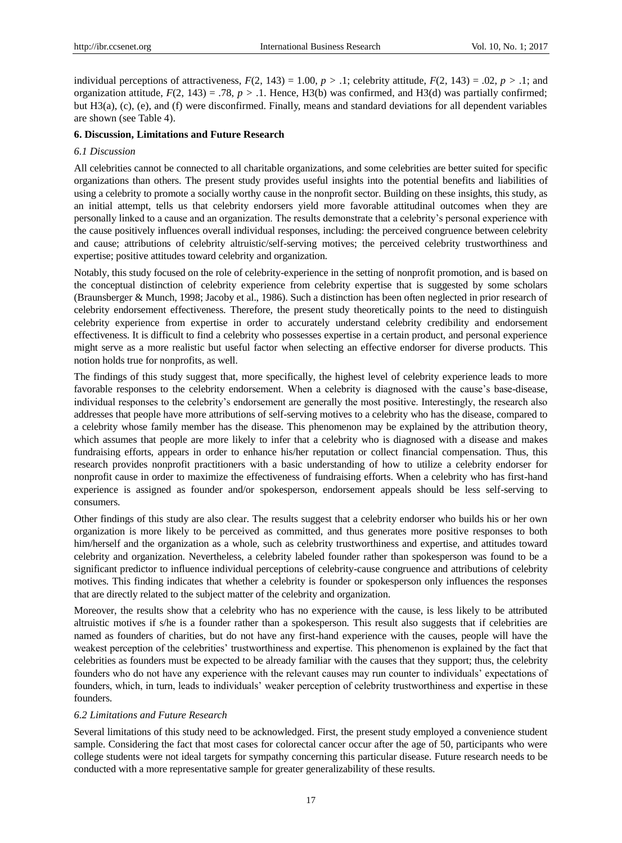individual perceptions of attractiveness,  $F(2, 143) = 1.00$ ,  $p > 0.1$ ; celebrity attitude,  $F(2, 143) = 0.02$ ,  $p > 0.1$ ; and organization attitude,  $F(2, 143) = .78$ ,  $p > .1$ . Hence, H3(b) was confirmed, and H3(d) was partially confirmed; but H3(a), (c), (e), and (f) were disconfirmed. Finally, means and standard deviations for all dependent variables are shown (see Table 4).

#### **6. Discussion, Limitations and Future Research**

#### *6.1 Discussion*

All celebrities cannot be connected to all charitable organizations, and some celebrities are better suited for specific organizations than others. The present study provides useful insights into the potential benefits and liabilities of using a celebrity to promote a socially worthy cause in the nonprofit sector. Building on these insights, this study, as an initial attempt, tells us that celebrity endorsers yield more favorable attitudinal outcomes when they are personally linked to a cause and an organization. The results demonstrate that a celebrity"s personal experience with the cause positively influences overall individual responses, including: the perceived congruence between celebrity and cause; attributions of celebrity altruistic/self-serving motives; the perceived celebrity trustworthiness and expertise; positive attitudes toward celebrity and organization.

Notably, this study focused on the role of celebrity-experience in the setting of nonprofit promotion, and is based on the conceptual distinction of celebrity experience from celebrity expertise that is suggested by some scholars (Braunsberger & Munch, 1998; Jacoby et al., 1986). Such a distinction has been often neglected in prior research of celebrity endorsement effectiveness. Therefore, the present study theoretically points to the need to distinguish celebrity experience from expertise in order to accurately understand celebrity credibility and endorsement effectiveness. It is difficult to find a celebrity who possesses expertise in a certain product, and personal experience might serve as a more realistic but useful factor when selecting an effective endorser for diverse products. This notion holds true for nonprofits, as well.

The findings of this study suggest that, more specifically, the highest level of celebrity experience leads to more favorable responses to the celebrity endorsement. When a celebrity is diagnosed with the cause"s base-disease, individual responses to the celebrity"s endorsement are generally the most positive. Interestingly, the research also addresses that people have more attributions of self-serving motives to a celebrity who has the disease, compared to a celebrity whose family member has the disease. This phenomenon may be explained by the attribution theory, which assumes that people are more likely to infer that a celebrity who is diagnosed with a disease and makes fundraising efforts, appears in order to enhance his/her reputation or collect financial compensation. Thus, this research provides nonprofit practitioners with a basic understanding of how to utilize a celebrity endorser for nonprofit cause in order to maximize the effectiveness of fundraising efforts. When a celebrity who has first-hand experience is assigned as founder and/or spokesperson, endorsement appeals should be less self-serving to consumers.

Other findings of this study are also clear. The results suggest that a celebrity endorser who builds his or her own organization is more likely to be perceived as committed, and thus generates more positive responses to both him/herself and the organization as a whole, such as celebrity trustworthiness and expertise, and attitudes toward celebrity and organization. Nevertheless, a celebrity labeled founder rather than spokesperson was found to be a significant predictor to influence individual perceptions of celebrity-cause congruence and attributions of celebrity motives. This finding indicates that whether a celebrity is founder or spokesperson only influences the responses that are directly related to the subject matter of the celebrity and organization.

Moreover, the results show that a celebrity who has no experience with the cause, is less likely to be attributed altruistic motives if s/he is a founder rather than a spokesperson. This result also suggests that if celebrities are named as founders of charities, but do not have any first-hand experience with the causes, people will have the weakest perception of the celebrities' trustworthiness and expertise. This phenomenon is explained by the fact that celebrities as founders must be expected to be already familiar with the causes that they support; thus, the celebrity founders who do not have any experience with the relevant causes may run counter to individuals" expectations of founders, which, in turn, leads to individuals" weaker perception of celebrity trustworthiness and expertise in these founders.

## *6.2 Limitations and Future Research*

Several limitations of this study need to be acknowledged. First, the present study employed a convenience student sample. Considering the fact that most cases for colorectal cancer occur after the age of 50, participants who were college students were not ideal targets for sympathy concerning this particular disease. Future research needs to be conducted with a more representative sample for greater generalizability of these results.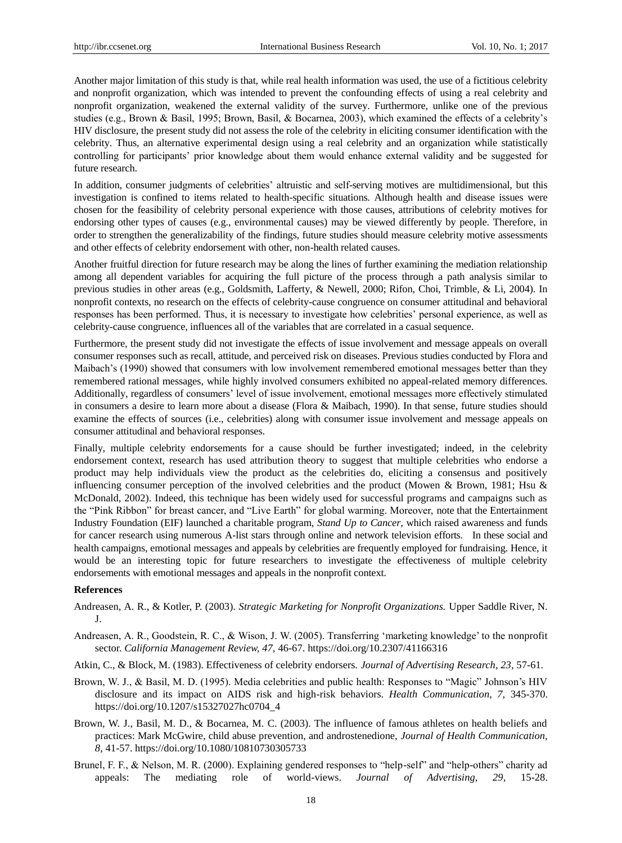Another major limitation of this study is that, while real health information was used, the use of a fictitious celebrity and nonprofit organization, which was intended to prevent the confounding effects of using a real celebrity and nonprofit organization, weakened the external validity of the survey. Furthermore, unlike one of the previous studies (e.g., Brown & Basil, 1995; Brown, Basil, & Bocarnea, 2003), which examined the effects of a celebrity's HIV disclosure, the present study did not assess the role of the celebrity in eliciting consumer identification with the celebrity. Thus, an alternative experimental design using a real celebrity and an organization while statistically controlling for participants" prior knowledge about them would enhance external validity and be suggested for future research.

In addition, consumer judgments of celebrities' altruistic and self-serving motives are multidimensional, but this investigation is confined to items related to health-specific situations. Although health and disease issues were chosen for the feasibility of celebrity personal experience with those causes, attributions of celebrity motives for endorsing other types of causes (e.g., environmental causes) may be viewed differently by people. Therefore, in order to strengthen the generalizability of the findings, future studies should measure celebrity motive assessments and other effects of celebrity endorsement with other, non-health related causes.

Another fruitful direction for future research may be along the lines of further examining the mediation relationship among all dependent variables for acquiring the full picture of the process through a path analysis similar to previous studies in other areas (e.g., Goldsmith, Lafferty, & Newell, 2000; Rifon, Choi, Trimble, & Li, 2004). In nonprofit contexts, no research on the effects of celebrity-cause congruence on consumer attitudinal and behavioral responses has been performed. Thus, it is necessary to investigate how celebrities" personal experience, as well as celebrity-cause congruence, influences all of the variables that are correlated in a casual sequence.

Furthermore, the present study did not investigate the effects of issue involvement and message appeals on overall consumer responses such as recall, attitude, and perceived risk on diseases. Previous studies conducted by Flora and Maibach"s (1990) showed that consumers with low involvement remembered emotional messages better than they remembered rational messages, while highly involved consumers exhibited no appeal-related memory differences. Additionally, regardless of consumers" level of issue involvement, emotional messages more effectively stimulated in consumers a desire to learn more about a disease (Flora & Maibach, 1990). In that sense, future studies should examine the effects of sources (i.e., celebrities) along with consumer issue involvement and message appeals on consumer attitudinal and behavioral responses.

Finally, multiple celebrity endorsements for a cause should be further investigated; indeed, in the celebrity endorsement context, research has used attribution theory to suggest that multiple celebrities who endorse a product may help individuals view the product as the celebrities do, eliciting a consensus and positively influencing consumer perception of the involved celebrities and the product (Mowen & Brown, 1981; Hsu  $\&$ McDonald, 2002). Indeed, this technique has been widely used for successful programs and campaigns such as the "Pink Ribbon" for breast cancer, and "Live Earth" for global warming. Moreover, note that the Entertainment Industry Foundation (EIF) launched a charitable program, *Stand Up to Cancer*, which raised awareness and funds for cancer research using numerous A-list stars through online and network television efforts. In these social and health campaigns, emotional messages and appeals by celebrities are frequently employed for fundraising. Hence, it would be an interesting topic for future researchers to investigate the effectiveness of multiple celebrity endorsements with emotional messages and appeals in the nonprofit context.

#### **References**

- Andreasen, A. R., & Kotler, P. (2003). *Strategic Marketing for Nonprofit Organizations.* Upper Saddle River, N. J.
- Andreasen, A. R., Goodstein, R. C., & Wison, J. W. (2005). Transferring "marketing knowledge" to the nonprofit sector. *California Management Review, 47,* 46-67[. https://doi.org/10.2307/41166316](https://doi.org/10.2307/41166316)
- Atkin, C., & Block, M. (1983). Effectiveness of celebrity endorsers. *Journal of Advertising Research, 23,* 57-61.
- Brown, W. J., & Basil, M. D. (1995). Media celebrities and public health: Responses to "Magic" Johnson"s HIV disclosure and its impact on AIDS risk and high-risk behaviors. *Health Communication, 7,* 345-370. [https://doi.org/10.1207/s15327027hc0704\\_4](https://doi.org/10.1207/s15327027hc0704_4)
- Brown, W. J., Basil, M. D., & Bocarnea, M. C. (2003). The influence of famous athletes on health beliefs and practices: Mark McGwire, child abuse prevention, and androstenedione, *Journal of Health Communication, 8,* 41-57.<https://doi.org/10.1080/10810730305733>
- Brunel, F. F., & Nelson, M. R. (2000). Explaining gendered responses to "help-self" and "help-others" charity ad appeals: The mediating role of world-views. *Journal of Advertising, 29,* 15-28.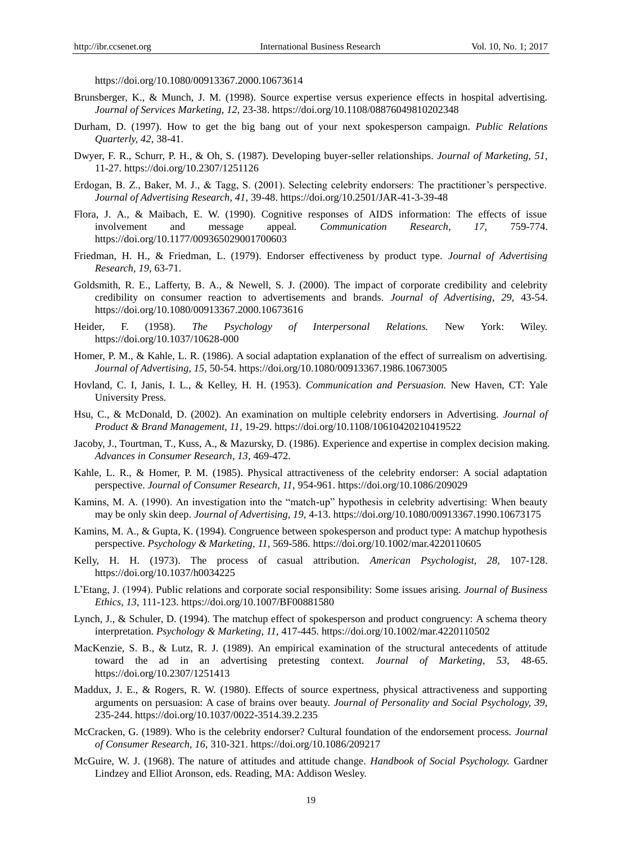<https://doi.org/10.1080/00913367.2000.10673614>

- Brunsberger, K., & Munch, J. M. (1998). Source expertise versus experience effects in hospital advertising. *Journal of Services Marketing, 12,* 23-38[. https://doi.org/10.1108/08876049810202348](https://doi.org/10.1108/08876049810202348)
- Durham, D. (1997). How to get the big bang out of your next spokesperson campaign. *Public Relations Quarterly, 42,* 38-41.
- Dwyer, F. R., Schurr, P. H., & Oh, S. (1987). Developing buyer-seller relationships. *Journal of Marketing, 51,* 11-27.<https://doi.org/10.2307/1251126>
- Erdogan, B. Z., Baker, M. J., & Tagg, S. (2001). Selecting celebrity endorsers: The practitioner's perspective. *Journal of Advertising Research, 41,* 39-48[. https://doi.org/10.2501/JAR-41-3-39-48](https://doi.org/10.2501/JAR-41-3-39-48)
- Flora, J. A., & Maibach, E. W. (1990). Cognitive responses of AIDS information: The effects of issue involvement and message appeal*. Communication Research, 17,* 759-774. <https://doi.org/10.1177/009365029001700603>
- Friedman, H. H., & Friedman, L. (1979). Endorser effectiveness by product type. *Journal of Advertising Research, 19,* 63-71.
- Goldsmith, R. E., Lafferty, B. A., & Newell, S. J. (2000). The impact of corporate credibility and celebrity credibility on consumer reaction to advertisements and brands. *Journal of Advertising, 29,* 43-54. <https://doi.org/10.1080/00913367.2000.10673616>
- Heider, F. (1958). *The Psychology of Interpersonal Relations.* New York: Wiley. <https://doi.org/10.1037/10628-000>
- Homer, P. M., & Kahle, L. R. (1986). A social adaptation explanation of the effect of surrealism on advertising. *Journal of Advertising, 15,* 50-54.<https://doi.org/10.1080/00913367.1986.10673005>
- Hovland, C. I, Janis, I. L., & Kelley, H. H. (1953). *Communication and Persuasion.* New Haven, CT: Yale University Press.
- Hsu, C., & McDonald, D. (2002). An examination on multiple celebrity endorsers in Advertising. *Journal of Product & Brand Management, 11,* 19-29.<https://doi.org/10.1108/10610420210419522>
- Jacoby, J., Tourtman, T., Kuss, A., & Mazursky, D. (1986). Experience and expertise in complex decision making. *Advances in Consumer Research, 13,* 469-472.
- Kahle, L. R., & Homer, P. M. (1985). Physical attractiveness of the celebrity endorser: A social adaptation perspective. *Journal of Consumer Research, 11,* 954-961[. https://doi.org/10.1086/209029](https://doi.org/10.1086/209029)
- Kamins, M. A. (1990). An investigation into the "match-up" hypothesis in celebrity advertising: When beauty may be only skin deep. *Journal of Advertising, 19,* 4-13.<https://doi.org/10.1080/00913367.1990.10673175>
- Kamins, M. A., & Gupta, K. (1994). Congruence between spokesperson and product type: A matchup hypothesis perspective. *Psychology & Marketing, 11,* 569-586[. https://doi.org/10.1002/mar.4220110605](https://doi.org/10.1002/mar.4220110605)
- Kelly, H. H. (1973). The process of casual attribution. *American Psychologist, 28,* 107-128. <https://doi.org/10.1037/h0034225>
- L"Etang, J. (1994). Public relations and corporate social responsibility: Some issues arising. *Journal of Business Ethics, 13,* 111-123[. https://doi.org/10.1007/BF00881580](https://doi.org/10.1007/BF00881580)
- Lynch, J., & Schuler, D. (1994). The matchup effect of spokesperson and product congruency: A schema theory interpretation. *Psychology & Marketing, 11,* 417-445.<https://doi.org/10.1002/mar.4220110502>
- MacKenzie, S. B., & Lutz, R. J. (1989). An empirical examination of the structural antecedents of attitude toward the ad in an advertising pretesting context. *Journal of Marketing, 53,* 48-65. <https://doi.org/10.2307/1251413>
- Maddux, J. E., & Rogers, R. W. (1980). Effects of source expertness, physical attractiveness and supporting arguments on persuasion: A case of brains over beauty. *Journal of Personality and Social Psychology, 39,* 235-244.<https://doi.org/10.1037/0022-3514.39.2.235>
- McCracken, G. (1989). Who is the celebrity endorser? Cultural foundation of the endorsement process. *Journal of Consumer Research, 16,* 310-321.<https://doi.org/10.1086/209217>
- McGuire, W. J. (1968). The nature of attitudes and attitude change*. Handbook of Social Psychology.* Gardner Lindzey and Elliot Aronson, eds. Reading, MA: Addison Wesley.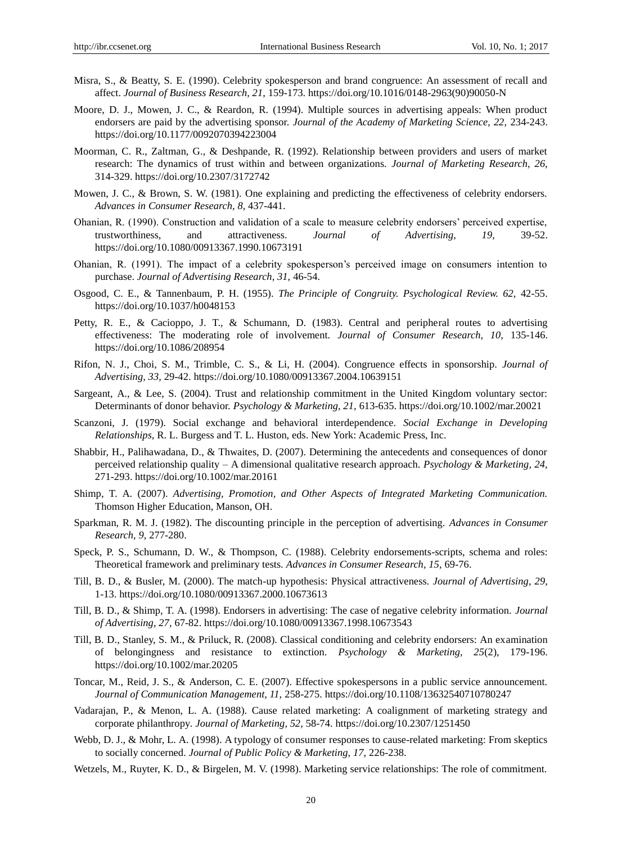- Misra, S., & Beatty, S. E. (1990). Celebrity spokesperson and brand congruence: An assessment of recall and affect. *Journal of Business Research, 21,* 159-173. [https://doi.org/10.1016/0148-2963\(90\)90050-N](https://doi.org/10.1016/0148-2963%2890%2990050-N)
- Moore, D. J., Mowen, J. C., & Reardon, R. (1994). Multiple sources in advertising appeals: When product endorsers are paid by the advertising sponsor. *Journal of the Academy of Marketing Science, 22,* 234-243. <https://doi.org/10.1177/0092070394223004>
- Moorman, C. R., Zaltman, G., & Deshpande, R. (1992). Relationship between providers and users of market research: The dynamics of trust within and between organizations. *Journal of Marketing Research, 26,* 314-329.<https://doi.org/10.2307/3172742>
- Mowen, J. C., & Brown, S. W. (1981). One explaining and predicting the effectiveness of celebrity endorsers. *Advances in Consumer Research, 8,* 437-441.
- Ohanian, R. (1990). Construction and validation of a scale to measure celebrity endorsers" perceived expertise, trustworthiness, and attractiveness. *Journal of Advertising, 19,* 39-52. <https://doi.org/10.1080/00913367.1990.10673191>
- Ohanian, R. (1991). The impact of a celebrity spokesperson"s perceived image on consumers intention to purchase. *Journal of Advertising Research, 31,* 46-54.
- Osgood, C. E., & Tannenbaum, P. H. (1955). *The Principle of Congruity. Psychological Review. 62,* 42-55. <https://doi.org/10.1037/h0048153>
- Petty, R. E., & Cacioppo, J. T., & Schumann, D. (1983). Central and peripheral routes to advertising effectiveness: The moderating role of involvement. *Journal of Consumer Research, 10,* 135-146. <https://doi.org/10.1086/208954>
- Rifon, N. J., Choi, S. M., Trimble, C. S., & Li, H. (2004). Congruence effects in sponsorship. *Journal of Advertising, 33,* 29-42.<https://doi.org/10.1080/00913367.2004.10639151>
- Sargeant, A., & Lee, S. (2004). Trust and relationship commitment in the United Kingdom voluntary sector: Determinants of donor behavior. *Psychology & Marketing, 21,* 613-635.<https://doi.org/10.1002/mar.20021>
- Scanzoni, J. (1979). Social exchange and behavioral interdependence. *Social Exchange in Developing Relationships,* R. L. Burgess and T. L. Huston, eds. New York: Academic Press, Inc.
- Shabbir, H., Palihawadana, D., & Thwaites, D. (2007). Determining the antecedents and consequences of donor perceived relationship quality – A dimensional qualitative research approach. *Psychology & Marketing, 24,* 271-293.<https://doi.org/10.1002/mar.20161>
- Shimp, T. A. (2007). *Advertising, Promotion, and Other Aspects of Integrated Marketing Communication.* Thomson Higher Education, Manson, OH.
- Sparkman, R. M. J. (1982). The discounting principle in the perception of advertising. *Advances in Consumer Research, 9,* 277-280.
- Speck, P. S., Schumann, D. W., & Thompson, C. (1988). Celebrity endorsements-scripts, schema and roles: Theoretical framework and preliminary tests. *Advances in Consumer Research, 15,* 69-76.
- Till, B. D., & Busler, M. (2000). The match-up hypothesis: Physical attractiveness. *Journal of Advertising, 29,* 1-13.<https://doi.org/10.1080/00913367.2000.10673613>
- Till, B. D., & Shimp, T. A. (1998). Endorsers in advertising: The case of negative celebrity information. *Journal of Advertising, 27,* 67-82[. https://doi.org/10.1080/00913367.1998.10673543](https://doi.org/10.1080/00913367.1998.10673543)
- Till, B. D., Stanley, S. M., & Priluck, R. (2008). Classical conditioning and celebrity endorsers: An examination of belongingness and resistance to extinction. *Psychology & Marketing, 25*(2), 179-196. <https://doi.org/10.1002/mar.20205>
- Toncar, M., Reid, J. S., & Anderson, C. E. (2007). Effective spokespersons in a public service announcement. *Journal of Communication Management, 11,* 258-275.<https://doi.org/10.1108/13632540710780247>
- Vadarajan, P., & Menon, L. A. (1988). Cause related marketing: A coalignment of marketing strategy and corporate philanthropy*. Journal of Marketing, 52,* 58-74.<https://doi.org/10.2307/1251450>
- Webb, D. J., & Mohr, L. A. (1998). A typology of consumer responses to cause-related marketing: From skeptics to socially concerned. *Journal of Public Policy & Marketing, 17,* 226-238.
- Wetzels, M., Ruyter, K. D., & Birgelen, M. V. (1998). Marketing service relationships: The role of commitment.